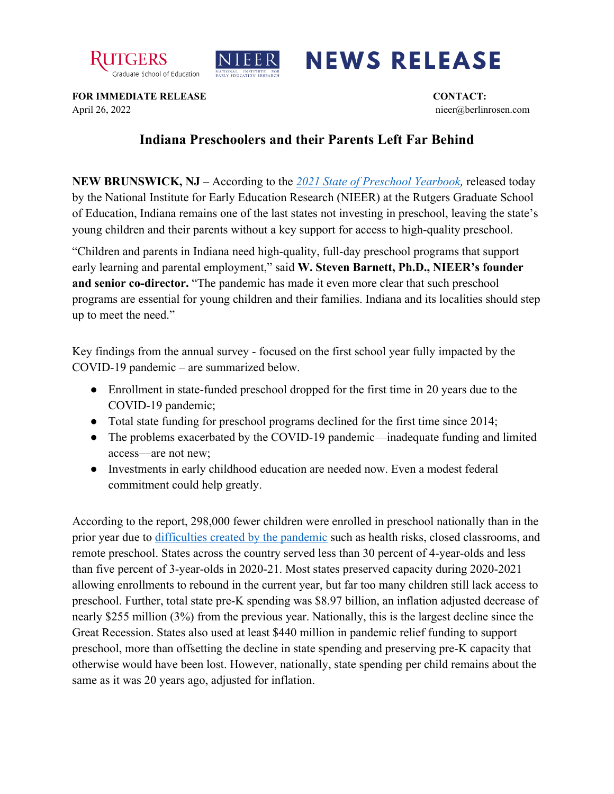



## **NEWS RELEASE**

**FOR IMMEDIATE RELEASE CONTACT:** April 26, 2022 nieer@berlinrosen.com

## **Indiana Preschoolers and their Parents Left Far Behind**

**NEW BRUNSWICK, NJ** – According to the *[2021 State of Preschool Yearbook,](https://nieer.org/state-preschool-yearbooks-yearbook2021)* released today by the National Institute for Early Education Research (NIEER) at the Rutgers Graduate School of Education, Indiana remains one of the last states not investing in preschool, leaving the state's young children and their parents without a key support for access to high-quality preschool.

"Children and parents in Indiana need high-quality, full-day preschool programs that support early learning and parental employment," said **W. Steven Barnett, Ph.D., NIEER's founder and senior co-director.** "The pandemic has made it even more clear that such preschool programs are essential for young children and their families. Indiana and its localities should step up to meet the need."

Key findings from the annual survey - focused on the first school year fully impacted by the COVID-19 pandemic – are summarized below.

- Enrollment in state-funded preschool dropped for the first time in 20 years due to the COVID-19 pandemic;
- Total state funding for preschool programs declined for the first time since 2014;
- The problems exacerbated by the COVID-19 pandemic—inadequate funding and limited access—are not new;
- Investments in early childhood education are needed now. Even a modest federal commitment could help greatly.

According to the report, 298,000 fewer children were enrolled in preschool nationally than in the prior year due to [difficulties created by the pandemic](https://nieer.org/wp-content/uploads/2021/02/NIEER_Seven_Impacts_of_the_Pandemic_on_Young_Children_and_their_Parents.pdf) such as health risks, closed classrooms, and remote preschool. States across the country served less than 30 percent of 4-year-olds and less than five percent of 3-year-olds in 2020-21. Most states preserved capacity during 2020-2021 allowing enrollments to rebound in the current year, but far too many children still lack access to preschool. Further, total state pre-K spending was \$8.97 billion, an inflation adjusted decrease of nearly \$255 million (3%) from the previous year. Nationally, this is the largest decline since the Great Recession. States also used at least \$440 million in pandemic relief funding to support preschool, more than offsetting the decline in state spending and preserving pre-K capacity that otherwise would have been lost. However, nationally, state spending per child remains about the same as it was 20 years ago, adjusted for inflation.